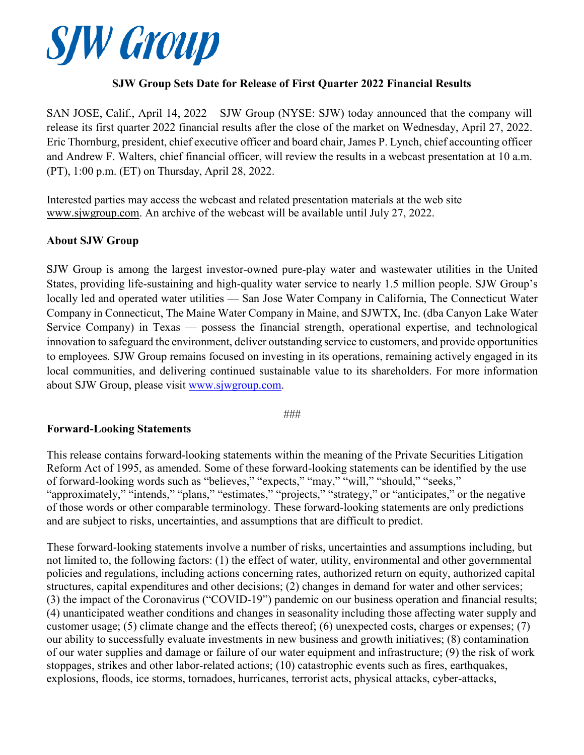

## **SJW Group Sets Date for Release of First Quarter 2022 Financial Results**

SAN JOSE, Calif., April 14, 2022 – SJW Group (NYSE: SJW) today announced that the company will release its first quarter 2022 financial results after the close of the market on Wednesday, April 27, 2022. Eric Thornburg, president, chief executive officer and board chair, James P. Lynch, chief accounting officer and Andrew F. Walters, chief financial officer, will review the results in a webcast presentation at 10 a.m. (PT), 1:00 p.m. (ET) on Thursday, April 28, 2022.

Interested parties may access the webcast and related presentation materials at the web site [www.sjwgroup.com.](http://www.sjwgroup.com/) An archive of the webcast will be available until July 27, 2022.

## **About SJW Group**

SJW Group is among the largest investor-owned pure-play water and wastewater utilities in the United States, providing life-sustaining and high-quality water service to nearly 1.5 million people. SJW Group's locally led and operated water utilities — San Jose Water Company in California, The Connecticut Water Company in Connecticut, The Maine Water Company in Maine, and SJWTX, Inc. (dba Canyon Lake Water Service Company) in Texas — possess the financial strength, operational expertise, and technological innovation to safeguard the environment, deliver outstanding service to customers, and provide opportunities to employees. SJW Group remains focused on investing in its operations, remaining actively engaged in its local communities, and delivering continued sustainable value to its shareholders. For more information about SJW Group, please visit [www.sjwgroup.com.](http://www.sjwgroup.com/)

###

## **Forward-Looking Statements**

This release contains forward-looking statements within the meaning of the Private Securities Litigation Reform Act of 1995, as amended. Some of these forward-looking statements can be identified by the use of forward-looking words such as "believes," "expects," "may," "will," "should," "seeks," "approximately," "intends," "plans," "estimates," "projects," "strategy," or "anticipates," or the negative of those words or other comparable terminology. These forward-looking statements are only predictions and are subject to risks, uncertainties, and assumptions that are difficult to predict.

These forward-looking statements involve a number of risks, uncertainties and assumptions including, but not limited to, the following factors: (1) the effect of water, utility, environmental and other governmental policies and regulations, including actions concerning rates, authorized return on equity, authorized capital structures, capital expenditures and other decisions; (2) changes in demand for water and other services; (3) the impact of the Coronavirus ("COVID-19") pandemic on our business operation and financial results; (4) unanticipated weather conditions and changes in seasonality including those affecting water supply and customer usage; (5) climate change and the effects thereof; (6) unexpected costs, charges or expenses; (7) our ability to successfully evaluate investments in new business and growth initiatives; (8) contamination of our water supplies and damage or failure of our water equipment and infrastructure; (9) the risk of work stoppages, strikes and other labor-related actions; (10) catastrophic events such as fires, earthquakes, explosions, floods, ice storms, tornadoes, hurricanes, terrorist acts, physical attacks, cyber-attacks,